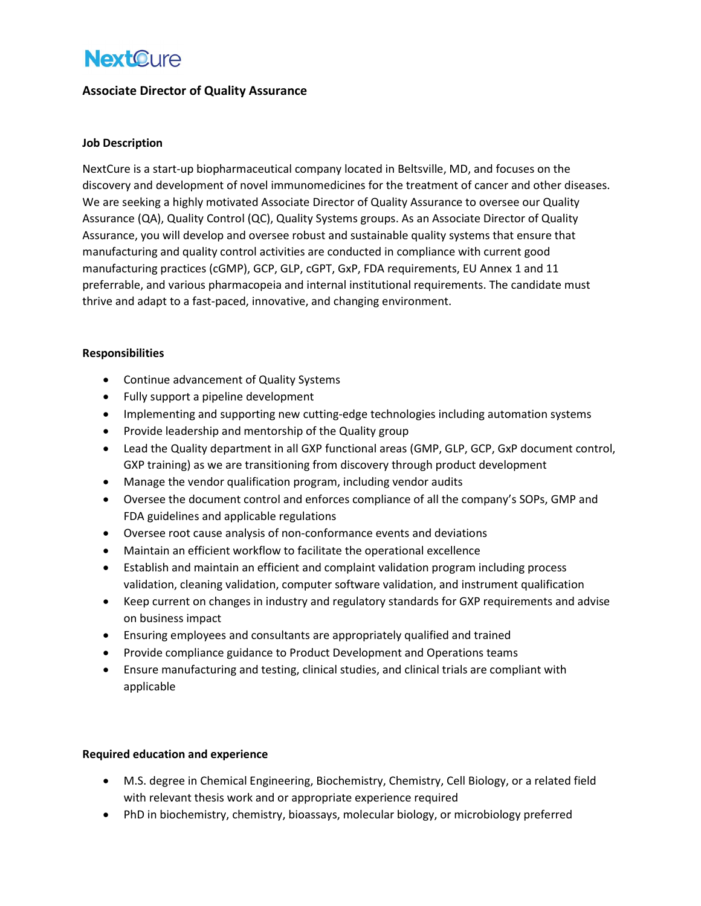# **NextCure**

## Associate Director of Quality Assurance

#### Job Description

NextCure is a start-up biopharmaceutical company located in Beltsville, MD, and focuses on the discovery and development of novel immunomedicines for the treatment of cancer and other diseases. We are seeking a highly motivated Associate Director of Quality Assurance to oversee our Quality Assurance (QA), Quality Control (QC), Quality Systems groups. As an Associate Director of Quality Assurance, you will develop and oversee robust and sustainable quality systems that ensure that manufacturing and quality control activities are conducted in compliance with current good manufacturing practices (cGMP), GCP, GLP, cGPT, GxP, FDA requirements, EU Annex 1 and 11 preferrable, and various pharmacopeia and internal institutional requirements. The candidate must thrive and adapt to a fast-paced, innovative, and changing environment.

#### Responsibilities

- Continue advancement of Quality Systems
- Fully support a pipeline development
- Implementing and supporting new cutting-edge technologies including automation systems
- Provide leadership and mentorship of the Quality group
- Lead the Quality department in all GXP functional areas (GMP, GLP, GCP, GxP document control, GXP training) as we are transitioning from discovery through product development
- Manage the vendor qualification program, including vendor audits
- Oversee the document control and enforces compliance of all the company's SOPs, GMP and FDA guidelines and applicable regulations
- Oversee root cause analysis of non-conformance events and deviations
- Maintain an efficient workflow to facilitate the operational excellence
- Establish and maintain an efficient and complaint validation program including process validation, cleaning validation, computer software validation, and instrument qualification
- Keep current on changes in industry and regulatory standards for GXP requirements and advise on business impact
- Ensuring employees and consultants are appropriately qualified and trained
- Provide compliance guidance to Product Development and Operations teams
- Ensure manufacturing and testing, clinical studies, and clinical trials are compliant with applicable

#### Required education and experience

- M.S. degree in Chemical Engineering, Biochemistry, Chemistry, Cell Biology, or a related field with relevant thesis work and or appropriate experience required
- PhD in biochemistry, chemistry, bioassays, molecular biology, or microbiology preferred